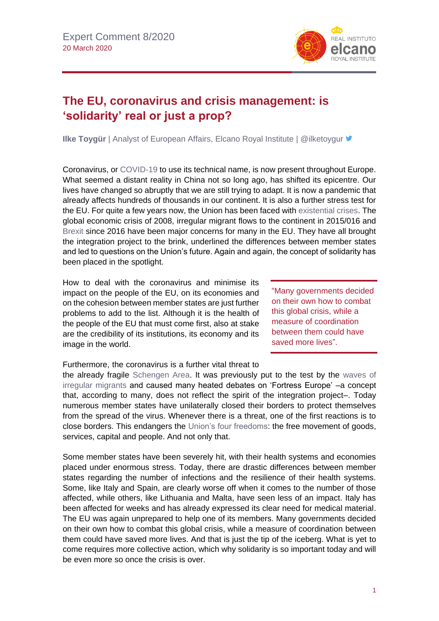

## **The EU, coronavirus and crisis management: is 'solidarity' real or just a prop?**

**Ilke Toygür** | Analyst of European Affairs, Elcano Royal Institute | @ilketoygur **■** 

Coronavirus, or [COVID-19](https://blog.realinstitutoelcano.org/en/the-deglobalisation-virus/) to use its technical name, is now present throughout Europe. What seemed a distant reality in China not so long ago, has shifted its epicentre. Our lives have changed so abruptly that we are still trying to adapt. It is now a pandemic that already affects hundreds of thousands in our continent. It is also a further stress test for the EU. For quite a few years now, the Union has been faced with [existential crises.](http://www.realinstitutoelcano.org/wps/portal/rielcano_en/contenido?WCM_GLOBAL_CONTEXT=/elcano/elcano_in/zonas_in/international+economy/pickford-steinberg-oteroiglesias-how-to-fix-the-euro/) The global economic crisis of 2008, irregular migrant flows to the continent in 2015/016 and [Brexit](https://especiales.realinstitutoelcano.org/brexit/) since 2016 have been major concerns for many in the EU. They have all brought the integration project to the brink, underlined the differences between member states and led to questions on the Union's future. Again and again, the concept of solidarity has been placed in the spotlight.

How to deal with the coronavirus and minimise its impact on the people of the EU, on its economies and on the cohesion between member states are just further problems to add to the list. Although it is the health of the people of the EU that must come first, also at stake are the credibility of its institutions, its economy and its image in the world.

"Many governments decided on their own how to combat this global crisis, while a measure of coordination between them could have saved more lives".

## Furthermore, the coronavirus is a further vital threat to

the already fragile [Schengen Area.](https://ec.europa.eu/home-affairs/what-we-do/policies/borders-and-visas/schengen_en) It was previously put to the test by the [waves of](http://www.realinstitutoelcano.org/wps/portal/rielcano_en/contenido?WCM_GLOBAL_CONTEXT=/elcano/elcano_in/zonas_in/commentary-toygur-gurkan-why-eu-should-not-opt-for-another-refugee-deal-turkey-with-no-shared-responsibility)  [irregular migrants](http://www.realinstitutoelcano.org/wps/portal/rielcano_en/contenido?WCM_GLOBAL_CONTEXT=/elcano/elcano_in/zonas_in/commentary-toygur-gurkan-why-eu-should-not-opt-for-another-refugee-deal-turkey-with-no-shared-responsibility) and caused many heated debates on 'Fortress Europe' –a concept that, according to many, does not reflect the spirit of the integration project–. Today numerous member states have unilaterally closed their borders to protect themselves from the spread of the virus. Whenever there is a threat, one of the first reactions is to close borders. This endangers the [Union's four freedoms:](https://blog.realinstitutoelcano.org/schengen-entre-las-personas-el-covid-19-y-la-solidaridad/) the free movement of goods, services, capital and people. And not only that.

Some member states have been severely hit, with their health systems and economies placed under enormous stress. Today, there are drastic differences between member states regarding the number of infections and the resilience of their health systems. Some, like Italy and Spain, are clearly worse off when it comes to the number of those affected, while others, like Lithuania and Malta, have seen less of an impact. Italy has been affected for weeks and has already expressed its clear need for medical material. The EU was again unprepared to help one of its members. Many governments decided on their own how to combat this global crisis, while a measure of coordination between them could have saved more lives. And that is just the tip of the iceberg. What is yet to come requires more collective action, which why solidarity is so important today and will be even more so once the crisis is over.